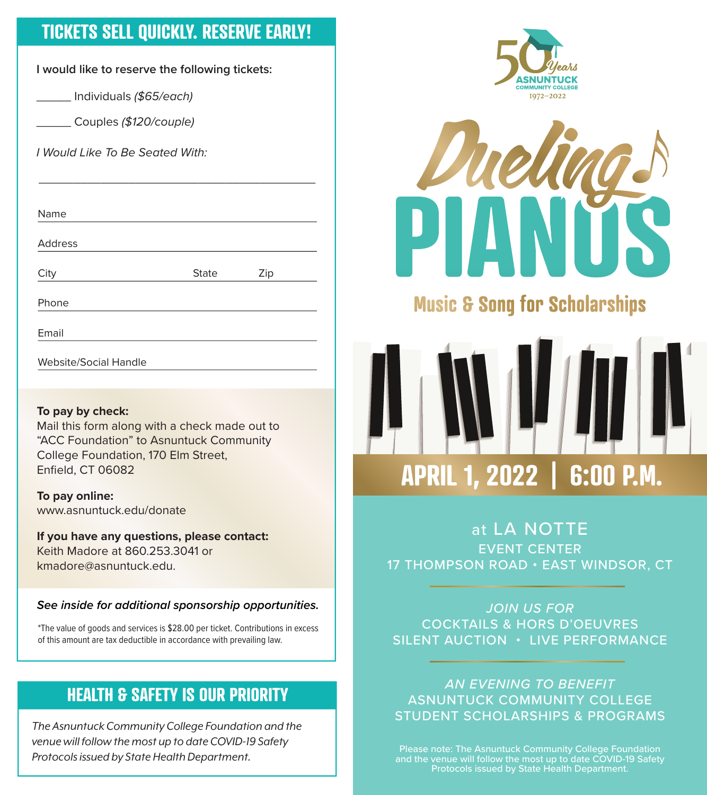#### **TICKETS SELL QUICKLY. RESERVE EARLY!**

**I would like to reserve the following tickets:**

\_\_\_\_\_ Individuals (\$65/each)

\_\_\_\_\_ Couples (\$120/couple)

I Would Like To Be Seated With:

| Name           |              |     |  |
|----------------|--------------|-----|--|
| <b>Address</b> |              |     |  |
| City           | <b>State</b> | Zip |  |
| Phone          |              |     |  |
| Email          |              |     |  |

 $\overline{\phantom{a}}$  , and the contract of the contract of the contract of the contract of the contract of the contract of the contract of the contract of the contract of the contract of the contract of the contract of the contrac

Website/Social Handle

#### **To pay by check:**

Mail this form along with a check made out to "ACC Foundation" to Asnuntuck Community College Foundation, 170 Elm Street, Enfield, CT 06082

**To pay online:** www.asnuntuck.edu/donate

**If you have any questions, please contact:** Keith Madore at 860.253.3041 or kmadore@asnuntuck.edu.

**See inside for additional sponsorship opportunities.**

\*The value of goods and services is \$28.00 per ticket. Contributions in excess of this amount are tax deductible in accordance with prevailing law.

#### **HEALTH & SAFETY IS OUR PRIORITY**

*The Asnuntuck Community College Foundation and the venue will follow the most up to date COVID-19 Safety Protocols issued by State Health Department.*





## **Music & Song for Scholarships**

# **APRIL 1, 2022 | 6:00 P.M.**

at LA NOTTE EVENT CENTER 17 THOMPSON ROAD • EAST WINDSOR, CT

JOIN US FOR COCKTAILS & HORS D'OEUVRES SILENT AUCTION • LIVE PERFORMANCE

AN EVENING TO BENEFIT ASNUNTUCK COMMUNITY COLLEGE STUDENT SCHOLARSHIPS & PROGRAMS

Please note: The Asnuntuck Community College Foundation and the venue will follow the most up to date COVID-19 Safety Protocols issued by State Health Department.